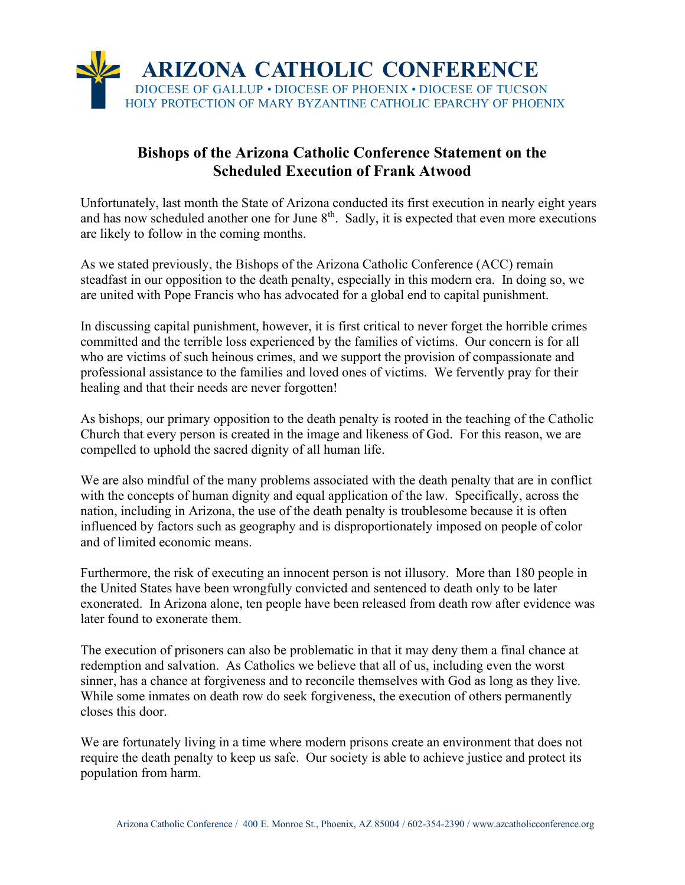

## Bishops of the Arizona Catholic Conference Statement on the Scheduled Execution of Frank Atwood

Unfortunately, last month the State of Arizona conducted its first execution in nearly eight years and has now scheduled another one for June  $8<sup>th</sup>$ . Sadly, it is expected that even more executions are likely to follow in the coming months.

As we stated previously, the Bishops of the Arizona Catholic Conference (ACC) remain steadfast in our opposition to the death penalty, especially in this modern era. In doing so, we are united with Pope Francis who has advocated for a global end to capital punishment.

In discussing capital punishment, however, it is first critical to never forget the horrible crimes committed and the terrible loss experienced by the families of victims. Our concern is for all who are victims of such heinous crimes, and we support the provision of compassionate and professional assistance to the families and loved ones of victims. We fervently pray for their healing and that their needs are never forgotten!

As bishops, our primary opposition to the death penalty is rooted in the teaching of the Catholic Church that every person is created in the image and likeness of God. For this reason, we are compelled to uphold the sacred dignity of all human life.

We are also mindful of the many problems associated with the death penalty that are in conflict with the concepts of human dignity and equal application of the law. Specifically, across the nation, including in Arizona, the use of the death penalty is troublesome because it is often influenced by factors such as geography and is disproportionately imposed on people of color and of limited economic means.

Furthermore, the risk of executing an innocent person is not illusory. More than 180 people in the United States have been wrongfully convicted and sentenced to death only to be later exonerated. In Arizona alone, ten people have been released from death row after evidence was later found to exonerate them.

The execution of prisoners can also be problematic in that it may deny them a final chance at redemption and salvation. As Catholics we believe that all of us, including even the worst sinner, has a chance at forgiveness and to reconcile themselves with God as long as they live. While some inmates on death row do seek forgiveness, the execution of others permanently closes this door.

We are fortunately living in a time where modern prisons create an environment that does not require the death penalty to keep us safe. Our society is able to achieve justice and protect its population from harm.